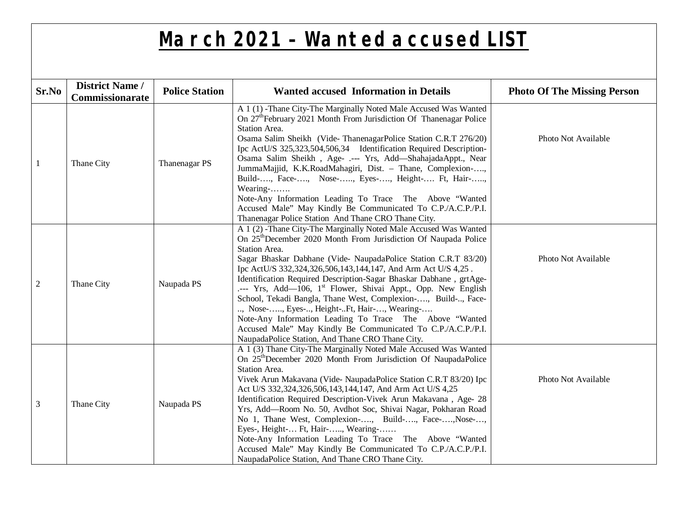## **March 2021 – Wanted accused LIST**

|                | <b>District Name /</b> |                       |                                                                                                                                                                                                                                                                                                                                                                                                                                                                                                                                                                                                                                                                                                                                                      |                                    |
|----------------|------------------------|-----------------------|------------------------------------------------------------------------------------------------------------------------------------------------------------------------------------------------------------------------------------------------------------------------------------------------------------------------------------------------------------------------------------------------------------------------------------------------------------------------------------------------------------------------------------------------------------------------------------------------------------------------------------------------------------------------------------------------------------------------------------------------------|------------------------------------|
| Sr.No          | Commissionarate        | <b>Police Station</b> | <b>Wanted accused Information in Details</b>                                                                                                                                                                                                                                                                                                                                                                                                                                                                                                                                                                                                                                                                                                         | <b>Photo Of The Missing Person</b> |
| 1              | Thane City             | Thanenagar PS         | A 1 (1) -Thane City-The Marginally Noted Male Accused Was Wanted<br>On 27 <sup>th</sup> February 2021 Month From Jurisdiction Of Thanenagar Police<br>Station Area.<br>Osama Salim Sheikh (Vide-ThanenagarPolice Station C.R.T 276/20)<br>Ipc ActU/S 325,323,504,506,34 Identification Required Description-<br>Osama Salim Sheikh, Age- .--- Yrs, Add-ShahajadaAppt., Near<br>JummaMajjid, K.K.RoadMahagiri, Dist. - Thane, Complexion-,<br>Build-, Face-, Nose-, Eyes-, Height- Ft, Hair-,<br>Wearing-<br>Note-Any Information Leading To Trace The Above "Wanted<br>Accused Male" May Kindly Be Communicated To C.P./A.C.P./P.I.<br>Thanenagar Police Station And Thane CRO Thane City.                                                           | Photo Not Available                |
| $\overline{2}$ | Thane City             | Naupada PS            | A 1 (2) -Thane City-The Marginally Noted Male Accused Was Wanted<br>On 25 <sup>th</sup> December 2020 Month From Jurisdiction Of Naupada Police<br>Station Area.<br>Sagar Bhaskar Dabhane (Vide- NaupadaPolice Station C.R.T 83/20)<br>Ipc ActU/S 332,324,326,506,143,144,147, And Arm Act U/S 4,25.<br>Identification Required Description-Sagar Bhaskar Dabhane, grtAge-<br>--- Yrs, Add—106, 1 <sup>st</sup> Flower, Shivai Appt., Opp. New English<br>School, Tekadi Bangla, Thane West, Complexion-, Build-, Face-<br>, Nose-, Eyes-, Height-Ft, Hair-, Wearing-<br>Note-Any Information Leading To Trace The Above "Wanted<br>Accused Male" May Kindly Be Communicated To C.P./A.C.P./P.I.<br>NaupadaPolice Station, And Thane CRO Thane City. | Photo Not Available                |
| 3              | Thane City             | Naupada PS            | A 1 (3) Thane City-The Marginally Noted Male Accused Was Wanted<br>On 25 <sup>th</sup> December 2020 Month From Jurisdiction Of NaupadaPolice<br>Station Area.<br>Vivek Arun Makavana (Vide- NaupadaPolice Station C.R.T 83/20) Ipc<br>Act U/S 332,324,326,506,143,144,147, And Arm Act U/S 4,25<br>Identification Required Description-Vivek Arun Makavana, Age- 28<br>Yrs, Add-Room No. 50, Avdhot Soc, Shivai Nagar, Pokharan Road<br>No 1, Thane West, Complexion-, Build-, Face-, Nose-,<br>Eyes-, Height- Ft, Hair-, Wearing-<br>Note-Any Information Leading To Trace The Above "Wanted<br>Accused Male" May Kindly Be Communicated To C.P./A.C.P./P.I.<br>NaupadaPolice Station, And Thane CRO Thane City.                                   | Photo Not Available                |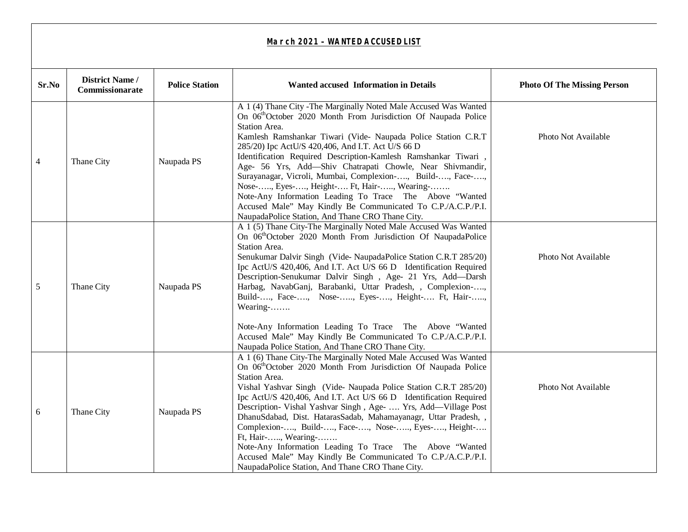| Sr.No          | <b>District Name /</b><br>Commissionarate | <b>Police Station</b> | <b>Wanted accused Information in Details</b>                                                                                                                                                                                                                                                                                                                                                                                                                                                                                                                                                                                                                                                                   | <b>Photo Of The Missing Person</b> |
|----------------|-------------------------------------------|-----------------------|----------------------------------------------------------------------------------------------------------------------------------------------------------------------------------------------------------------------------------------------------------------------------------------------------------------------------------------------------------------------------------------------------------------------------------------------------------------------------------------------------------------------------------------------------------------------------------------------------------------------------------------------------------------------------------------------------------------|------------------------------------|
| $\overline{4}$ | Thane City                                | Naupada PS            | A 1 (4) Thane City - The Marginally Noted Male Accused Was Wanted<br>On 06 <sup>th</sup> October 2020 Month From Jurisdiction Of Naupada Police<br>Station Area.<br>Kamlesh Ramshankar Tiwari (Vide- Naupada Police Station C.R.T<br>285/20) Ipc ActU/S 420,406, And I.T. Act U/S 66 D<br>Identification Required Description-Kamlesh Ramshankar Tiwari,<br>Age- 56 Yrs, Add-Shiv Chatrapati Chowle, Near Shivmandir,<br>Surayanagar, Vicroli, Mumbai, Complexion-, Build-, Face-,<br>Nose-, Eyes-, Height- Ft, Hair-, Wearing-<br>Note-Any Information Leading To Trace The Above "Wanted<br>Accused Male" May Kindly Be Communicated To C.P./A.C.P./P.I.<br>NaupadaPolice Station, And Thane CRO Thane City. | Photo Not Available                |
| 5              | Thane City                                | Naupada PS            | A 1 (5) Thane City-The Marginally Noted Male Accused Was Wanted<br>On 06 <sup>th</sup> October 2020 Month From Jurisdiction Of NaupadaPolice<br>Station Area.<br>Senukumar Dalvir Singh (Vide-NaupadaPolice Station C.R.T 285/20)<br>Ipc ActU/S 420,406, And I.T. Act U/S 66 D Identification Required<br>Description-Senukumar Dalvir Singh, Age- 21 Yrs, Add-Darsh<br>Harbag, NavabGanj, Barabanki, Uttar Pradesh, , Complexion-,<br>Build-, Face-, Nose-, Eyes-, Height- Ft, Hair-,<br>Wearing-<br>Note-Any Information Leading To Trace The Above "Wanted<br>Accused Male" May Kindly Be Communicated To C.P./A.C.P./P.I.<br>Naupada Police Station, And Thane CRO Thane City.                             | Photo Not Available                |
| 6              | Thane City                                | Naupada PS            | A 1 (6) Thane City-The Marginally Noted Male Accused Was Wanted<br>On 06 <sup>th</sup> October 2020 Month From Jurisdiction Of Naupada Police<br>Station Area.<br>Vishal Yashvar Singh (Vide- Naupada Police Station C.R.T 285/20)<br>Ipc ActU/S 420,406, And I.T. Act U/S 66 D Identification Required<br>Description- Vishal Yashvar Singh, Age-  Yrs, Add-Village Post<br>DhanuSdabad, Dist. HatarasSadab, Mahamayanagr, Uttar Pradesh, ,<br>Complexion-, Build-, Face-, Nose-, Eyes-, Height-<br>Ft, Hair-, Wearing-<br>Note-Any Information Leading To Trace The Above "Wanted<br>Accused Male" May Kindly Be Communicated To C.P./A.C.P./P.I.<br>NaupadaPolice Station, And Thane CRO Thane City.        | Photo Not Available                |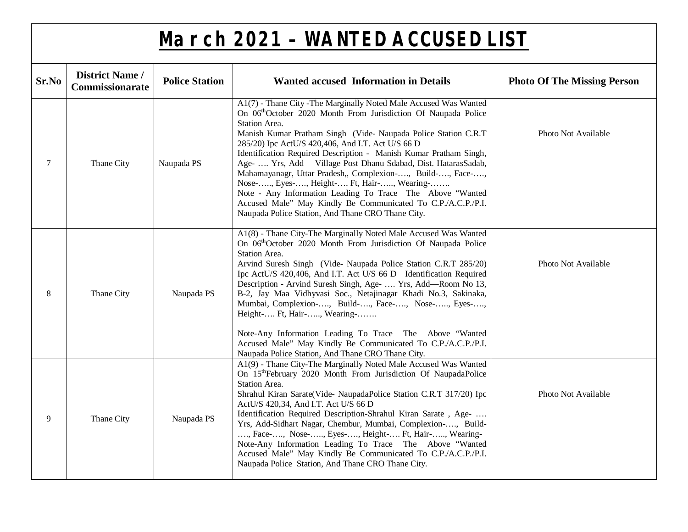| Sr.No | <b>District Name /</b><br>Commissionarate | <b>Police Station</b> | <b>Wanted accused Information in Details</b>                                                                                                                                                                                                                                                                                                                                                                                                                                                                                                                                                                                                                                                                               | <b>Photo Of The Missing Person</b> |
|-------|-------------------------------------------|-----------------------|----------------------------------------------------------------------------------------------------------------------------------------------------------------------------------------------------------------------------------------------------------------------------------------------------------------------------------------------------------------------------------------------------------------------------------------------------------------------------------------------------------------------------------------------------------------------------------------------------------------------------------------------------------------------------------------------------------------------------|------------------------------------|
| 7     | Thane City                                | Naupada PS            | A1(7) - Thane City - The Marginally Noted Male Accused Was Wanted<br>On 06 <sup>th</sup> October 2020 Month From Jurisdiction Of Naupada Police<br>Station Area.<br>Manish Kumar Pratham Singh (Vide- Naupada Police Station C.R.T<br>285/20) Ipc ActU/S 420,406, And I.T. Act U/S 66 D<br>Identification Required Description - Manish Kumar Pratham Singh,<br>Age-  Yrs, Add- Village Post Dhanu Sdabad, Dist. HatarasSadab,<br>Mahamayanagr, Uttar Pradesh,, Complexion-, Build-, Face-,<br>Nose-, Eyes-, Height- Ft, Hair-, Wearing-<br>Note - Any Information Leading To Trace The Above "Wanted<br>Accused Male" May Kindly Be Communicated To C.P./A.C.P./P.I.<br>Naupada Police Station, And Thane CRO Thane City. | Photo Not Available                |
| 8     | Thane City                                | Naupada PS            | A1(8) - Thane City-The Marginally Noted Male Accused Was Wanted<br>On 06 <sup>th</sup> October 2020 Month From Jurisdiction Of Naupada Police<br>Station Area.<br>Arvind Suresh Singh (Vide- Naupada Police Station C.R.T 285/20)<br>Ipc ActU/S 420,406, And I.T. Act U/S 66 D Identification Required<br>Description - Arvind Suresh Singh, Age-  Yrs, Add—Room No 13,<br>B-2, Jay Maa Vidhyvasi Soc., Netajinagar Khadi No.3, Sakinaka,<br>Mumbai, Complexion-, Build-, Face-, Nose-, Eyes-,<br>Height- Ft, Hair-, Wearing-<br>Note-Any Information Leading To Trace The Above "Wanted<br>Accused Male" May Kindly Be Communicated To C.P./A.C.P./P.I.<br>Naupada Police Station, And Thane CRO Thane City.              | Photo Not Available                |
| 9     | Thane City                                | Naupada PS            | A1(9) - Thane City-The Marginally Noted Male Accused Was Wanted<br>On 15 <sup>th</sup> February 2020 Month From Jurisdiction Of NaupadaPolice<br>Station Area.<br>Shrahul Kiran Sarate(Vide- NaupadaPolice Station C.R.T 317/20) Ipc<br>ActU/S 420,34, And I.T. Act U/S 66 D<br>Identification Required Description-Shrahul Kiran Sarate, Age-<br>Yrs, Add-Sidhart Nagar, Chembur, Mumbai, Complexion-, Build-<br>, Face-, Nose-, Eyes-, Height- Ft, Hair-, Wearing-<br>Note-Any Information Leading To Trace The Above "Wanted<br>Accused Male" May Kindly Be Communicated To C.P./A.C.P./P.I.<br>Naupada Police Station, And Thane CRO Thane City.                                                                       | Photo Not Available                |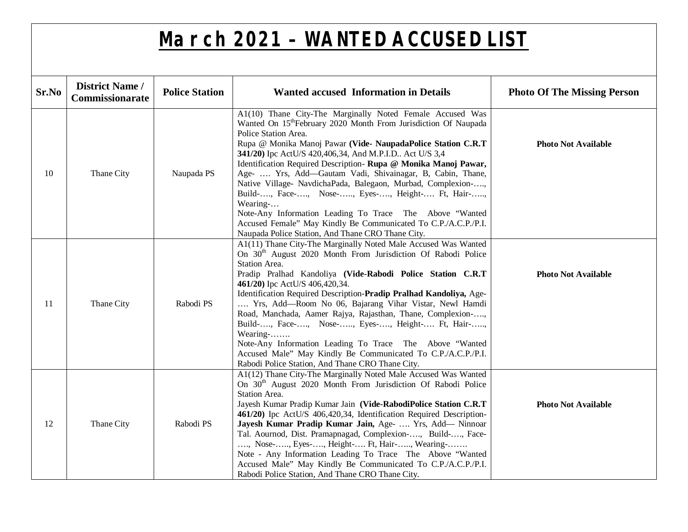| Sr.No | <b>District Name /</b><br>Commissionarate | <b>Police Station</b> | <b>Wanted accused Information in Details</b>                                                                                                                                                                                                                                                                                                                                                                                                                                                                                                                                                                                                                                                                                                | <b>Photo Of The Missing Person</b> |
|-------|-------------------------------------------|-----------------------|---------------------------------------------------------------------------------------------------------------------------------------------------------------------------------------------------------------------------------------------------------------------------------------------------------------------------------------------------------------------------------------------------------------------------------------------------------------------------------------------------------------------------------------------------------------------------------------------------------------------------------------------------------------------------------------------------------------------------------------------|------------------------------------|
| 10    | Thane City                                | Naupada PS            | A1(10) Thane City-The Marginally Noted Female Accused Was<br>Wanted On 15 <sup>th</sup> February 2020 Month From Jurisdiction Of Naupada<br>Police Station Area.<br>Rupa @ Monika Manoj Pawar (Vide- NaupadaPolice Station C.R.T<br>341/20) Ipc ActU/S 420,406,34, And M.P.I.D Act U/S 3,4<br>Identification Required Description- Rupa @ Monika Manoj Pawar,<br>Age-  Yrs, Add-Gautam Vadi, Shivainagar, B, Cabin, Thane,<br>Native Village- NavdichaPada, Balegaon, Murbad, Complexion-,<br>Build-, Face-, Nose-, Eyes-, Height- Ft, Hair-,<br>Wearing-<br>Note-Any Information Leading To Trace The Above "Wanted<br>Accused Female" May Kindly Be Communicated To C.P./A.C.P./P.I.<br>Naupada Police Station, And Thane CRO Thane City. | <b>Photo Not Available</b>         |
| 11    | Thane City                                | Rabodi PS             | A1(11) Thane City-The Marginally Noted Male Accused Was Wanted<br>On 30 <sup>th</sup> August 2020 Month From Jurisdiction Of Rabodi Police<br>Station Area.<br>Pradip Pralhad Kandoliya (Vide-Rabodi Police Station C.R.T<br>461/20) Ipc ActU/S 406,420,34.<br>Identification Required Description-Pradip Pralhad Kandoliya, Age-<br>Yrs, Add-Room No 06, Bajarang Vihar Vistar, Newl Hamdi<br>Road, Manchada, Aamer Rajya, Rajasthan, Thane, Complexion-,<br>Build-, Face-, Nose-, Eyes-, Height- Ft, Hair-,<br>Wearing-<br>Note-Any Information Leading To Trace The Above "Wanted<br>Accused Male" May Kindly Be Communicated To C.P./A.C.P./P.I.<br>Rabodi Police Station, And Thane CRO Thane City.                                    | <b>Photo Not Available</b>         |
| 12    | Thane City                                | Rabodi PS             | A1(12) Thane City-The Marginally Noted Male Accused Was Wanted<br>On 30 <sup>th</sup> August 2020 Month From Jurisdiction Of Rabodi Police<br>Station Area.<br>Jayesh Kumar Pradip Kumar Jain (Vide-RabodiPolice Station C.R.T<br>461/20) Ipc ActU/S 406,420,34, Identification Required Description-<br>Jayesh Kumar Pradip Kumar Jain, Age-  Yrs, Add- Ninnoar<br>Tal. Aournod, Dist. Pramapnagad, Complexion-, Build-, Face-<br>, Nose-, Eyes-, Height- Ft, Hair-, Wearing-<br>Note - Any Information Leading To Trace The Above "Wanted<br>Accused Male" May Kindly Be Communicated To C.P./A.C.P./P.I.<br>Rabodi Police Station, And Thane CRO Thane City.                                                                             | <b>Photo Not Available</b>         |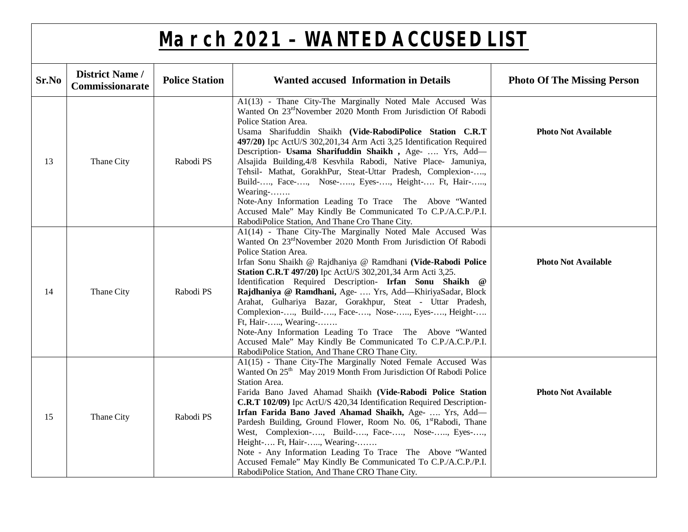| Sr.No | <b>District Name /</b><br><b>Commissionarate</b> | <b>Police Station</b> | <b>Wanted accused Information in Details</b>                                                                                                                                                                                                                                                                                                                                                                                                                                                                                                                                                                                                                                                                                                       | <b>Photo Of The Missing Person</b> |
|-------|--------------------------------------------------|-----------------------|----------------------------------------------------------------------------------------------------------------------------------------------------------------------------------------------------------------------------------------------------------------------------------------------------------------------------------------------------------------------------------------------------------------------------------------------------------------------------------------------------------------------------------------------------------------------------------------------------------------------------------------------------------------------------------------------------------------------------------------------------|------------------------------------|
| 13    | Thane City                                       | Rabodi PS             | A1(13) - Thane City-The Marginally Noted Male Accused Was<br>Wanted On 23 <sup>rd</sup> November 2020 Month From Jurisdiction Of Rabodi<br>Police Station Area.<br>Usama Sharifuddin Shaikh (Vide-RabodiPolice Station C.R.T<br>497/20) Ipc ActU/S 302,201,34 Arm Acti 3,25 Identification Required<br>Description- Usama Sharifuddin Shaikh, Age-  Yrs, Add-<br>Alsajida Building, 4/8 Kesvhila Rabodi, Native Place- Jamuniya,<br>Tehsil- Mathat, GorakhPur, Steat-Uttar Pradesh, Complexion-,<br>Build-, Face-, Nose-, Eyes-, Height- Ft, Hair-,<br>Wearing-<br>Note-Any Information Leading To Trace The Above "Wanted<br>Accused Male" May Kindly Be Communicated To C.P./A.C.P./P.I.<br>RabodiPolice Station, And Thane Cro Thane City.      | <b>Photo Not Available</b>         |
| 14    | Thane City                                       | Rabodi PS             | A1(14) - Thane City-The Marginally Noted Male Accused Was<br>Wanted On 23 <sup>rd</sup> November 2020 Month From Jurisdiction Of Rabodi<br>Police Station Area.<br>Irfan Sonu Shaikh @ Rajdhaniya @ Ramdhani (Vide-Rabodi Police<br>Station C.R.T 497/20) Ipc ActU/S 302, 201, 34 Arm Acti 3, 25.<br>Identification Required Description- Irfan Sonu Shaikh @<br>Rajdhaniya @ Ramdhani, Age-  Yrs, Add—KhiriyaSadar, Block<br>Arahat, Gulhariya Bazar, Gorakhpur, Steat - Uttar Pradesh,<br>Complexion-, Build-, Face-, Nose-, Eyes-, Height-<br>Ft, Hair-, Wearing-<br>Note-Any Information Leading To Trace The Above "Wanted<br>Accused Male" May Kindly Be Communicated To C.P./A.C.P./P.I.<br>RabodiPolice Station, And Thane CRO Thane City. | <b>Photo Not Available</b>         |
| 15    | Thane City                                       | Rabodi PS             | A1(15) - Thane City-The Marginally Noted Female Accused Was<br>Wanted On 25 <sup>th</sup> May 2019 Month From Jurisdiction Of Rabodi Police<br>Station Area.<br>Farida Bano Javed Ahamad Shaikh (Vide-Rabodi Police Station<br>C.R.T 102/09) Ipc ActU/S 420,34 Identification Required Description-<br>Irfan Farida Bano Javed Ahamad Shaikh, Age-  Yrs, Add-<br>Pardesh Building, Ground Flower, Room No. 06, 1 <sup>st</sup> Rabodi, Thane<br>West, Complexion-, Build-, Face-, Nose-, Eyes-,<br>Height- Ft, Hair-, Wearing-<br>Note - Any Information Leading To Trace The Above "Wanted<br>Accused Female" May Kindly Be Communicated To C.P./A.C.P./P.I.<br>RabodiPolice Station, And Thane CRO Thane City.                                   | <b>Photo Not Available</b>         |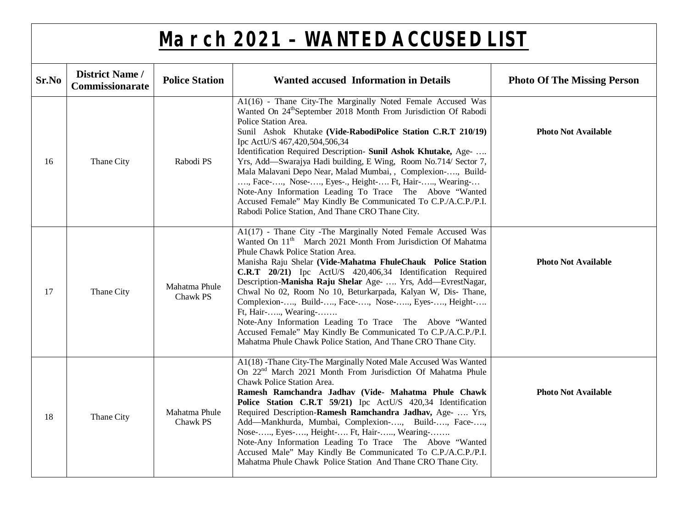| Sr.No | <b>District Name /</b><br>Commissionarate | <b>Police Station</b>     | <b>Wanted accused Information in Details</b>                                                                                                                                                                                                                                                                                                                                                                                                                                                                                                                                                                                                                                                                        | <b>Photo Of The Missing Person</b> |
|-------|-------------------------------------------|---------------------------|---------------------------------------------------------------------------------------------------------------------------------------------------------------------------------------------------------------------------------------------------------------------------------------------------------------------------------------------------------------------------------------------------------------------------------------------------------------------------------------------------------------------------------------------------------------------------------------------------------------------------------------------------------------------------------------------------------------------|------------------------------------|
| 16    | Thane City                                | Rabodi PS                 | A1(16) - Thane City-The Marginally Noted Female Accused Was<br>Wanted On 24 <sup>th</sup> September 2018 Month From Jurisdiction Of Rabodi<br>Police Station Area.<br>Sunil Ashok Khutake (Vide-RabodiPolice Station C.R.T 210/19)<br>Ipc ActU/S 467,420,504,506,34<br>Identification Required Description- Sunil Ashok Khutake, Age-<br>Yrs, Add—Swarajya Hadi building, E Wing, Room No.714/ Sector 7,<br>Mala Malavani Depo Near, Malad Mumbai, , Complexion-, Build-<br>, Face-, Nose-, Eyes-., Height- Ft, Hair-, Wearing-<br>Note-Any Information Leading To Trace The Above "Wanted<br>Accused Female" May Kindly Be Communicated To C.P./A.C.P./P.I.<br>Rabodi Police Station, And Thane CRO Thane City.    | <b>Photo Not Available</b>         |
| 17    | Thane City                                | Mahatma Phule<br>Chawk PS | A1(17) - Thane City - The Marginally Noted Female Accused Was<br>Wanted On 11 <sup>th</sup> March 2021 Month From Jurisdiction Of Mahatma<br>Phule Chawk Police Station Area.<br>Manisha Raju Shelar (Vide-Mahatma FhuleChauk Police Station<br>C.R.T 20/21) Ipc ActU/S 420,406,34 Identification Required<br>Description-Manisha Raju Shelar Age-  Yrs, Add-EvrestNagar,<br>Chwal No 02, Room No 10, Beturkarpada, Kalyan W, Dis- Thane,<br>Complexion-, Build-, Face-, Nose-, Eyes-, Height-<br>Ft, Hair-, Wearing-<br>Note-Any Information Leading To Trace The Above "Wanted<br>Accused Female" May Kindly Be Communicated To C.P./A.C.P./P.I.<br>Mahatma Phule Chawk Police Station, And Thane CRO Thane City. | <b>Photo Not Available</b>         |
| 18    | Thane City                                | Mahatma Phule<br>Chawk PS | A1(18) -Thane City-The Marginally Noted Male Accused Was Wanted<br>On 22 <sup>nd</sup> March 2021 Month From Jurisdiction Of Mahatma Phule<br>Chawk Police Station Area.<br>Ramesh Ramchandra Jadhav (Vide- Mahatma Phule Chawk<br>Police Station C.R.T 59/21) Ipc ActU/S 420,34 Identification<br>Required Description-Ramesh Ramchandra Jadhav, Age-  Yrs,<br>Add—Mankhurda, Mumbai, Complexion-, Build-, Face-,<br>Nose-, Eyes-, Height- Ft, Hair-, Wearing-<br>Note-Any Information Leading To Trace The Above "Wanted<br>Accused Male" May Kindly Be Communicated To C.P./A.C.P./P.I.<br>Mahatma Phule Chawk Police Station And Thane CRO Thane City.                                                          | <b>Photo Not Available</b>         |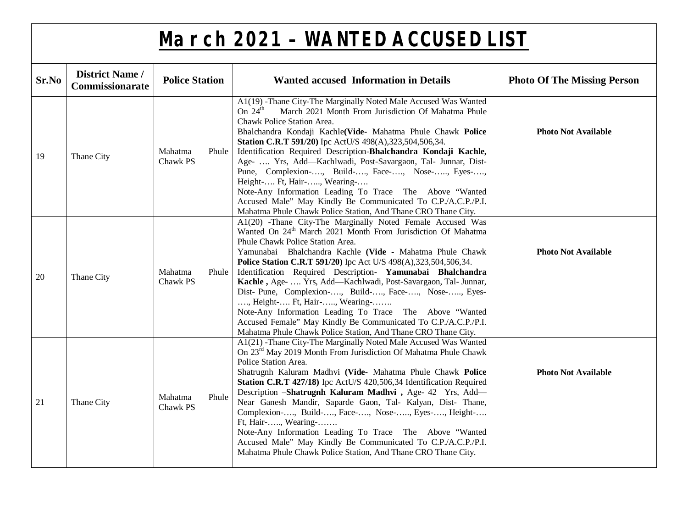| Sr.No | <b>District Name /</b><br>Commissionarate | <b>Police Station</b>        | <b>Wanted accused Information in Details</b>                                                                                                                                                                                                                                                                                                                                                                                                                                                                                                                                                                                                                                                                                         | <b>Photo Of The Missing Person</b> |
|-------|-------------------------------------------|------------------------------|--------------------------------------------------------------------------------------------------------------------------------------------------------------------------------------------------------------------------------------------------------------------------------------------------------------------------------------------------------------------------------------------------------------------------------------------------------------------------------------------------------------------------------------------------------------------------------------------------------------------------------------------------------------------------------------------------------------------------------------|------------------------------------|
| 19    | Thane City                                | Mahatma<br>Phule<br>Chawk PS | A1(19) -Thane City-The Marginally Noted Male Accused Was Wanted<br>March 2021 Month From Jurisdiction Of Mahatma Phule<br>On $24^{\text{th}}$<br>Chawk Police Station Area.<br>Bhalchandra Kondaji Kachle(Vide- Mahatma Phule Chawk Police<br>Station C.R.T 591/20) Ipc ActU/S 498(A), 323, 504, 506, 34.<br>Identification Required Description-Bhalchandra Kondaji Kachle,<br>Age-  Yrs, Add-Kachlwadi, Post-Savargaon, Tal- Junnar, Dist-<br>Pune, Complexion-, Build-, Face-, Nose-, Eyes-,<br>Height- Ft, Hair-, Wearing-<br>Note-Any Information Leading To Trace The Above "Wanted<br>Accused Male" May Kindly Be Communicated To C.P./A.C.P./P.I.<br>Mahatma Phule Chawk Police Station, And Thane CRO Thane City.           | <b>Photo Not Available</b>         |
| 20    | Thane City                                | Mahatma<br>Phule<br>Chawk PS | A1(20) -Thane City-The Marginally Noted Female Accused Was<br>Wanted On 24 <sup>th</sup> March 2021 Month From Jurisdiction Of Mahatma<br>Phule Chawk Police Station Area.<br>Yamunabai Bhalchandra Kachle (Vide - Mahatma Phule Chawk<br>Police Station C.R.T 591/20) Ipc Act U/S 498(A), 323, 504, 506, 34.<br>Identification Required Description- Yamunabai Bhalchandra<br>Kachle, Age-  Yrs, Add-Kachlwadi, Post-Savargaon, Tal- Junnar,<br>Dist- Pune, Complexion-, Build-, Face-, Nose-, Eyes-<br>, Height- Ft, Hair-, Wearing-<br>Note-Any Information Leading To Trace The Above "Wanted<br>Accused Female" May Kindly Be Communicated To C.P./A.C.P./P.I.<br>Mahatma Phule Chawk Police Station, And Thane CRO Thane City. | <b>Photo Not Available</b>         |
| 21    | Thane City                                | Mahatma<br>Phule<br>Chawk PS | A1(21) -Thane City-The Marginally Noted Male Accused Was Wanted<br>On 23 <sup>rd</sup> May 2019 Month From Jurisdiction Of Mahatma Phule Chawk<br>Police Station Area.<br>Shatrugnh Kaluram Madhvi (Vide- Mahatma Phule Chawk Police<br>Station C.R.T 427/18) Ipc ActU/S 420,506,34 Identification Required<br>Description -Shatrugnh Kaluram Madhvi, Age- 42 Yrs, Add-<br>Near Ganesh Mandir, Saparde Gaon, Tal- Kalyan, Dist- Thane,<br>Complexion-, Build-, Face-, Nose-, Eyes-, Height-<br>Ft, Hair-, Wearing-<br>Note-Any Information Leading To Trace The Above "Wanted<br>Accused Male" May Kindly Be Communicated To C.P./A.C.P./P.I.<br>Mahatma Phule Chawk Police Station, And Thane CRO Thane City.                       | <b>Photo Not Available</b>         |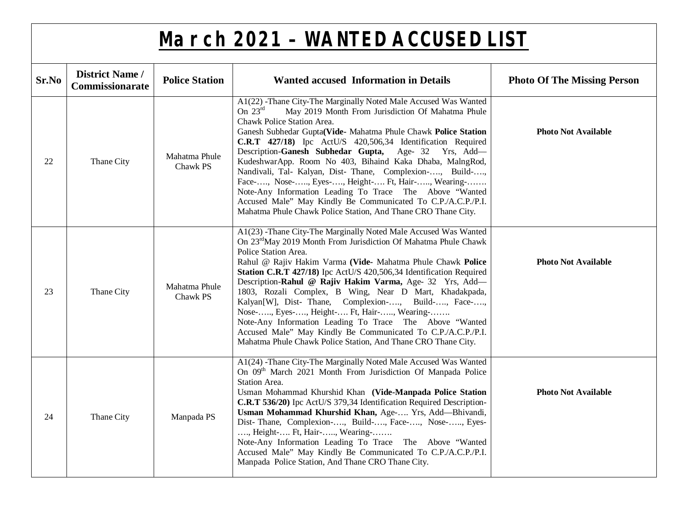| Sr.No | <b>District Name /</b><br>Commissionarate | <b>Police Station</b>     | <b>Wanted accused Information in Details</b>                                                                                                                                                                                                                                                                                                                                                                                                                                                                                                                                                                                                                                                                                       | <b>Photo Of The Missing Person</b> |
|-------|-------------------------------------------|---------------------------|------------------------------------------------------------------------------------------------------------------------------------------------------------------------------------------------------------------------------------------------------------------------------------------------------------------------------------------------------------------------------------------------------------------------------------------------------------------------------------------------------------------------------------------------------------------------------------------------------------------------------------------------------------------------------------------------------------------------------------|------------------------------------|
| 22    | Thane City                                | Mahatma Phule<br>Chawk PS | A1(22) -Thane City-The Marginally Noted Male Accused Was Wanted<br>On $23rd$<br>May 2019 Month From Jurisdiction Of Mahatma Phule<br>Chawk Police Station Area.<br>Ganesh Subhedar Gupta(Vide- Mahatma Phule Chawk Police Station<br>C.R.T 427/18) Ipc ActU/S 420,506,34 Identification Required<br>Description-Ganesh Subhedar Gupta, Age- 32 Yrs, Add-<br>KudeshwarApp. Room No 403, Bihaind Kaka Dhaba, MalngRod,<br>Nandivali, Tal- Kalyan, Dist- Thane, Complexion-, Build-,<br>Face-, Nose-, Eyes-, Height- Ft, Hair-, Wearing-<br>Note-Any Information Leading To Trace The Above "Wanted<br>Accused Male" May Kindly Be Communicated To C.P./A.C.P./P.I.<br>Mahatma Phule Chawk Police Station, And Thane CRO Thane City.  | <b>Photo Not Available</b>         |
| 23    | Thane City                                | Mahatma Phule<br>Chawk PS | A1(23) -Thane City-The Marginally Noted Male Accused Was Wanted<br>On 23 <sup>rd</sup> May 2019 Month From Jurisdiction Of Mahatma Phule Chawk<br>Police Station Area.<br>Rahul @ Rajiv Hakim Varma (Vide- Mahatma Phule Chawk Police<br>Station C.R.T 427/18) Ipc ActU/S 420,506,34 Identification Required<br>Description-Rahul @ Rajiv Hakim Varma, Age- 32 Yrs, Add-<br>1803, Rozali Complex, B Wing, Near D Mart, Khadakpada,<br>Kalyan[W], Dist- Thane, Complexion-, Build-, Face-,<br>Nose-, Eyes-, Height- Ft, Hair-, Wearing-<br>Note-Any Information Leading To Trace The Above "Wanted<br>Accused Male" May Kindly Be Communicated To C.P./A.C.P./P.I.<br>Mahatma Phule Chawk Police Station, And Thane CRO Thane City. | <b>Photo Not Available</b>         |
| 24    | Thane City                                | Manpada PS                | A1(24) -Thane City-The Marginally Noted Male Accused Was Wanted<br>On 09 <sup>th</sup> March 2021 Month From Jurisdiction Of Manpada Police<br>Station Area.<br>Usman Mohammad Khurshid Khan (Vide-Manpada Police Station<br>C.R.T 536/20) Ipc ActU/S 379,34 Identification Required Description-<br>Usman Mohammad Khurshid Khan, Age- Yrs, Add-Bhivandi,<br>Dist-Thane, Complexion-, Build-, Face-, Nose-, Eyes-<br>, Height- Ft, Hair-, Wearing-<br>Note-Any Information Leading To Trace The Above "Wanted<br>Accused Male" May Kindly Be Communicated To C.P./A.C.P./P.I.<br>Manpada Police Station, And Thane CRO Thane City.                                                                                                | <b>Photo Not Available</b>         |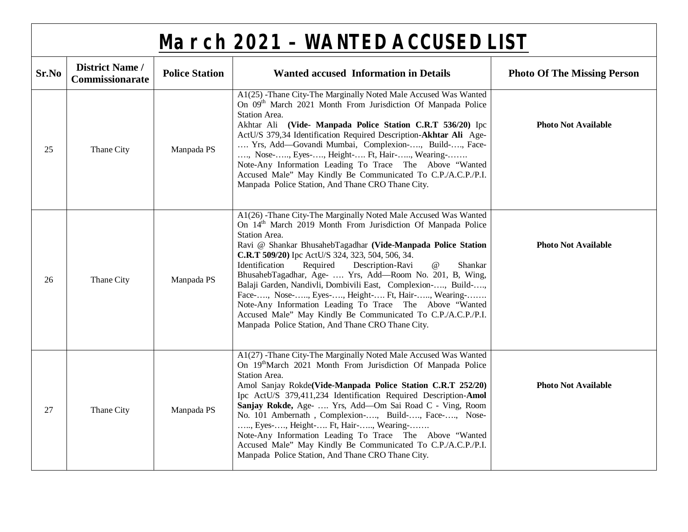|       | <b>March 2021 - WANTED ACCUSED LIST</b>   |                       |                                                                                                                                                                                                                                                                                                                                                                                                                                                                                                                                                                                                                                                                                                                                  |                                    |  |
|-------|-------------------------------------------|-----------------------|----------------------------------------------------------------------------------------------------------------------------------------------------------------------------------------------------------------------------------------------------------------------------------------------------------------------------------------------------------------------------------------------------------------------------------------------------------------------------------------------------------------------------------------------------------------------------------------------------------------------------------------------------------------------------------------------------------------------------------|------------------------------------|--|
| Sr.No | <b>District Name /</b><br>Commissionarate | <b>Police Station</b> | <b>Wanted accused Information in Details</b>                                                                                                                                                                                                                                                                                                                                                                                                                                                                                                                                                                                                                                                                                     | <b>Photo Of The Missing Person</b> |  |
| 25    | Thane City                                | Manpada PS            | A1(25) -Thane City-The Marginally Noted Male Accused Was Wanted<br>On 09 <sup>th</sup> March 2021 Month From Jurisdiction Of Manpada Police<br>Station Area.<br>Akhtar Ali (Vide- Manpada Police Station C.R.T 536/20) Ipc<br>ActU/S 379,34 Identification Required Description-Akhtar Ali Age-<br>Yrs, Add-Govandi Mumbai, Complexion-, Build-, Face-<br>, Nose-, Eyes-, Height- Ft, Hair-, Wearing-<br>Note-Any Information Leading To Trace The Above "Wanted<br>Accused Male" May Kindly Be Communicated To C.P./A.C.P./P.I.<br>Manpada Police Station, And Thane CRO Thane City.                                                                                                                                            | <b>Photo Not Available</b>         |  |
| 26    | Thane City                                | Manpada PS            | A1(26) -Thane City-The Marginally Noted Male Accused Was Wanted<br>On 14 <sup>th</sup> March 2019 Month From Jurisdiction Of Manpada Police<br>Station Area.<br>Ravi @ Shankar BhusahebTagadhar (Vide-Manpada Police Station<br>C.R.T 509/20) Ipc ActU/S 324, 323, 504, 506, 34.<br>Identification<br>Required<br>Description-Ravi<br>$^{\copyright}$<br>Shankar<br>BhusahebTagadhar, Age-  Yrs, Add-Room No. 201, B, Wing,<br>Balaji Garden, Nandivli, Dombivili East, Complexion-, Build-,<br>Face-, Nose-, Eyes-, Height- Ft, Hair-, Wearing-<br>Note-Any Information Leading To Trace The Above "Wanted<br>Accused Male" May Kindly Be Communicated To C.P./A.C.P./P.I.<br>Manpada Police Station, And Thane CRO Thane City. | <b>Photo Not Available</b>         |  |
| 27    | Thane City                                | Manpada PS            | A1(27) -Thane City-The Marginally Noted Male Accused Was Wanted<br>On 19 <sup>th</sup> March 2021 Month From Jurisdiction Of Manpada Police<br>Station Area.<br>Amol Sanjay Rokde(Vide-Manpada Police Station C.R.T 252/20)<br>Ipc ActU/S 379,411,234 Identification Required Description-Amol<br>Sanjay Rokde, Age-  Yrs, Add-Om Sai Road C - Ving, Room<br>No. 101 Ambernath, Complexion-, Build-, Face-, Nose-<br>, Eyes-, Height- Ft, Hair-, Wearing-<br>Note-Any Information Leading To Trace The Above "Wanted<br>Accused Male" May Kindly Be Communicated To C.P./A.C.P./P.I.<br>Manpada Police Station, And Thane CRO Thane City.                                                                                        | <b>Photo Not Available</b>         |  |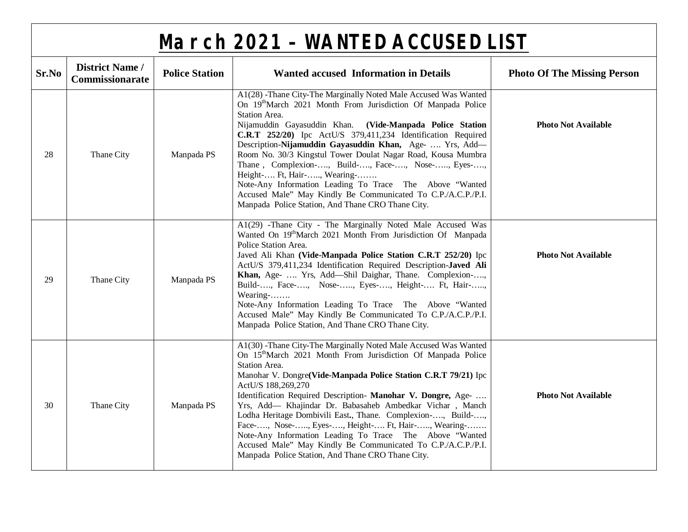|       | <b>March 2021 - WANTED ACCUSED LIST</b>   |                       |                                                                                                                                                                                                                                                                                                                                                                                                                                                                                                                                                                                                                                                                                        |                                    |  |  |
|-------|-------------------------------------------|-----------------------|----------------------------------------------------------------------------------------------------------------------------------------------------------------------------------------------------------------------------------------------------------------------------------------------------------------------------------------------------------------------------------------------------------------------------------------------------------------------------------------------------------------------------------------------------------------------------------------------------------------------------------------------------------------------------------------|------------------------------------|--|--|
| Sr.No | <b>District Name /</b><br>Commissionarate | <b>Police Station</b> | <b>Wanted accused Information in Details</b>                                                                                                                                                                                                                                                                                                                                                                                                                                                                                                                                                                                                                                           | <b>Photo Of The Missing Person</b> |  |  |
| 28    | Thane City                                | Manpada PS            | A1(28) -Thane City-The Marginally Noted Male Accused Was Wanted<br>On 19 <sup>th</sup> March 2021 Month From Jurisdiction Of Manpada Police<br>Station Area.<br>Nijamuddin Gayasuddin Khan. (Vide-Manpada Police Station<br>C.R.T 252/20) Ipc ActU/S 379,411,234 Identification Required<br>Description-Nijamuddin Gayasuddin Khan, Age-  Yrs, Add-<br>Room No. 30/3 Kingstul Tower Doulat Nagar Road, Kousa Mumbra<br>Thane, Complexion-, Build-, Face-, Nose-, Eyes-,<br>Height- Ft, Hair-, Wearing-<br>Note-Any Information Leading To Trace The Above "Wanted<br>Accused Male" May Kindly Be Communicated To C.P./A.C.P./P.I.<br>Manpada Police Station, And Thane CRO Thane City. | <b>Photo Not Available</b>         |  |  |
| 29    | Thane City                                | Manpada PS            | A1(29) -Thane City - The Marginally Noted Male Accused Was<br>Wanted On 19 <sup>th</sup> March 2021 Month From Jurisdiction Of Manpada<br>Police Station Area.<br>Javed Ali Khan (Vide-Manpada Police Station C.R.T 252/20) Ipc<br>ActU/S 379,411,234 Identification Required Description-Javed Ali<br>Khan, Age-  Yrs, Add-Shil Daighar, Thane. Complexion-,<br>Build-, Face-, Nose-, Eyes-, Height- Ft, Hair-,<br>Wearing-<br>Note-Any Information Leading To Trace The Above "Wanted<br>Accused Male" May Kindly Be Communicated To C.P./A.C.P./P.I.<br>Manpada Police Station, And Thane CRO Thane City.                                                                           | <b>Photo Not Available</b>         |  |  |
| 30    | Thane City                                | Manpada PS            | A1(30) -Thane City-The Marginally Noted Male Accused Was Wanted<br>On 15 <sup>th</sup> March 2021 Month From Jurisdiction Of Manpada Police<br>Station Area.<br>Manohar V. Dongre(Vide-Manpada Police Station C.R.T 79/21) Ipc<br>ActU/S 188,269,270<br>Identification Required Description- Manohar V. Dongre, Age-<br>Yrs, Add- Khajindar Dr. Babasaheb Ambedkar Vichar, Manch<br>Lodha Heritage Dombivili East., Thane. Complexion-, Build-,<br>Face-, Nose-, Eyes-, Height- Ft, Hair-, Wearing-<br>Note-Any Information Leading To Trace The Above "Wanted<br>Accused Male" May Kindly Be Communicated To C.P./A.C.P./P.I.<br>Manpada Police Station, And Thane CRO Thane City.    | <b>Photo Not Available</b>         |  |  |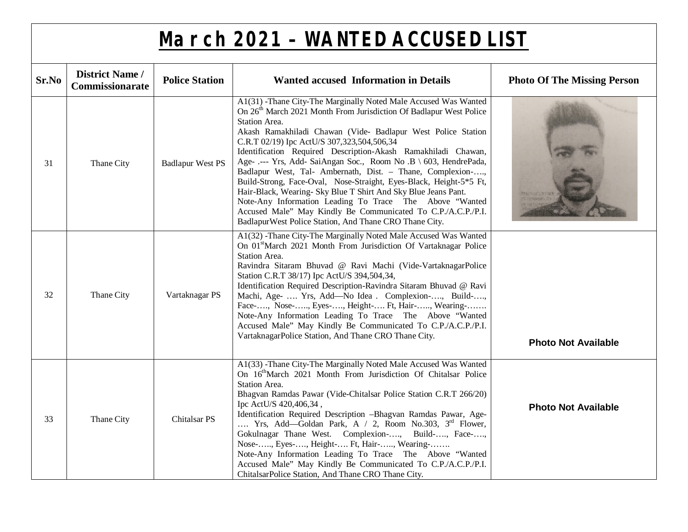| Sr.No | <b>District Name /</b><br>Commissionarate | <b>Police Station</b>   | <b>Wanted accused Information in Details</b>                                                                                                                                                                                                                                                                                                                                                                                                                                                                                                                                                                                                                                                                                                                                                                      | <b>Photo Of The Missing Person</b> |
|-------|-------------------------------------------|-------------------------|-------------------------------------------------------------------------------------------------------------------------------------------------------------------------------------------------------------------------------------------------------------------------------------------------------------------------------------------------------------------------------------------------------------------------------------------------------------------------------------------------------------------------------------------------------------------------------------------------------------------------------------------------------------------------------------------------------------------------------------------------------------------------------------------------------------------|------------------------------------|
| 31    | Thane City                                | <b>Badlapur West PS</b> | A1(31) -Thane City-The Marginally Noted Male Accused Was Wanted<br>On 26 <sup>th</sup> March 2021 Month From Jurisdiction Of Badlapur West Police<br>Station Area.<br>Akash Ramakhiladi Chawan (Vide- Badlapur West Police Station<br>C.R.T 02/19) Ipc ActU/S 307,323,504,506,34<br>Identification Required Description-Akash Ramakhiladi Chawan,<br>Age- .--- Yrs, Add- SaiAngan Soc., Room No .B \ 603, HendrePada,<br>Badlapur West, Tal- Ambernath, Dist. - Thane, Complexion-,<br>Build-Strong, Face-Oval, Nose-Straight, Eyes-Black, Height-5*5 Ft,<br>Hair-Black, Wearing- Sky Blue T Shirt And Sky Blue Jeans Pant.<br>Note-Any Information Leading To Trace The Above "Wanted<br>Accused Male" May Kindly Be Communicated To C.P./A.C.P./P.I.<br>Badlapur West Police Station, And Thane CRO Thane City. |                                    |
| 32    | Thane City                                | Vartaknagar PS          | A1(32) -Thane City-The Marginally Noted Male Accused Was Wanted<br>On 01 <sup>st</sup> March 2021 Month From Jurisdiction Of Vartaknagar Police<br>Station Area.<br>Ravindra Sitaram Bhuvad @ Ravi Machi (Vide-VartaknagarPolice<br>Station C.R.T 38/17) Ipc ActU/S 394,504,34,<br>Identification Required Description-Ravindra Sitaram Bhuvad @ Ravi<br>Machi, Age-  Yrs, Add-No Idea . Complexion-, Build-,<br>Face-, Nose-, Eyes-, Height- Ft, Hair-, Wearing-<br>Note-Any Information Leading To Trace The Above "Wanted<br>Accused Male" May Kindly Be Communicated To C.P./A.C.P./P.I.<br>VartaknagarPolice Station, And Thane CRO Thane City.                                                                                                                                                              | <b>Photo Not Available</b>         |
| 33    | Thane City                                | Chitalsar <sub>PS</sub> | A1(33) -Thane City-The Marginally Noted Male Accused Was Wanted<br>On 16 <sup>th</sup> March 2021 Month From Jurisdiction Of Chitalsar Police<br>Station Area.<br>Bhagvan Ramdas Pawar (Vide-Chitalsar Police Station C.R.T 266/20)<br>Ipc ActU/S 420,406,34,<br>Identification Required Description -Bhagvan Ramdas Pawar, Age-<br>Yrs, Add—Goldan Park, A $/$ 2, Room No.303, 3 <sup>rd</sup> Flower,<br>Gokulnagar Thane West. Complexion-, Build-, Face-,<br>Nose-, Eyes-, Height- Ft, Hair-, Wearing-<br>Note-Any Information Leading To Trace The Above "Wanted<br>Accused Male" May Kindly Be Communicated To C.P./A.C.P./P.I.<br>ChitalsarPolice Station, And Thane CRO Thane City.                                                                                                                       | <b>Photo Not Available</b>         |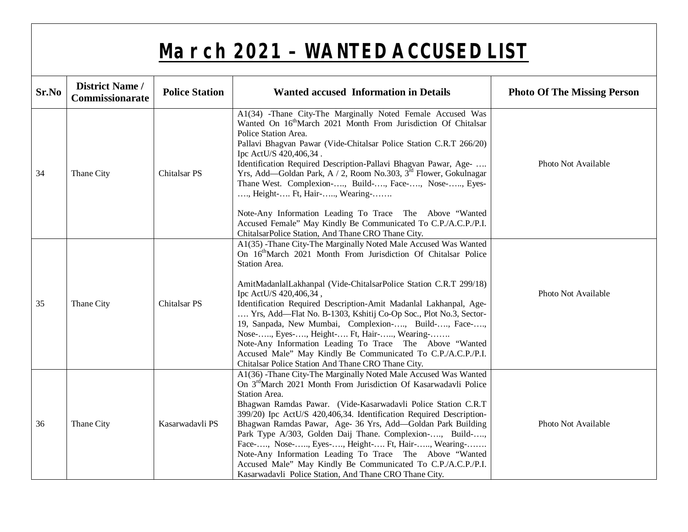| Sr.No | <b>District Name /</b><br><b>Commissionarate</b> | <b>Police Station</b>   | <b>Wanted accused Information in Details</b>                                                                                                                                                                                                                                                                                                                                                                                                                                                                                                                                                                                                                                                 | <b>Photo Of The Missing Person</b> |
|-------|--------------------------------------------------|-------------------------|----------------------------------------------------------------------------------------------------------------------------------------------------------------------------------------------------------------------------------------------------------------------------------------------------------------------------------------------------------------------------------------------------------------------------------------------------------------------------------------------------------------------------------------------------------------------------------------------------------------------------------------------------------------------------------------------|------------------------------------|
| 34    | Thane City                                       | <b>Chitalsar PS</b>     | A1(34) -Thane City-The Marginally Noted Female Accused Was<br>Wanted On 16 <sup>th</sup> March 2021 Month From Jurisdiction Of Chitalsar<br>Police Station Area.<br>Pallavi Bhagvan Pawar (Vide-Chitalsar Police Station C.R.T 266/20)<br>Ipc ActU/S 420,406,34.<br>Identification Required Description-Pallavi Bhagvan Pawar, Age-<br>Yrs, Add—Goldan Park, A / 2, Room No.303, 3 <sup>rd</sup> Flower, Gokulnagar<br>Thane West. Complexion-, Build-, Face-, Nose-, Eyes-<br>, Height- Ft, Hair-, Wearing-                                                                                                                                                                                 | Photo Not Available                |
|       |                                                  |                         | Note-Any Information Leading To Trace The Above "Wanted<br>Accused Female" May Kindly Be Communicated To C.P./A.C.P./P.I.<br>ChitalsarPolice Station, And Thane CRO Thane City.                                                                                                                                                                                                                                                                                                                                                                                                                                                                                                              |                                    |
| 35    | Thane City                                       | Chitalsar <sub>PS</sub> | A1(35) -Thane City-The Marginally Noted Male Accused Was Wanted<br>On 16 <sup>th</sup> March 2021 Month From Jurisdiction Of Chitalsar Police<br>Station Area.<br>AmitMadanlalLakhanpal (Vide-ChitalsarPolice Station C.R.T 299/18)<br>Ipc ActU/S 420,406,34,<br>Identification Required Description-Amit Madanlal Lakhanpal, Age-<br>Yrs, Add—Flat No. B-1303, Kshitij Co-Op Soc., Plot No.3, Sector-<br>19, Sanpada, New Mumbai, Complexion-, Build-, Face-,<br>Nose-, Eyes-, Height- Ft, Hair-, Wearing-<br>Note-Any Information Leading To Trace The Above "Wanted<br>Accused Male" May Kindly Be Communicated To C.P./A.C.P./P.I.<br>Chitalsar Police Station And Thane CRO Thane City. | Photo Not Available                |
| 36    | Thane City                                       | Kasarwadavli PS         | A1(36) -Thane City-The Marginally Noted Male Accused Was Wanted<br>On 3 <sup>rd</sup> March 2021 Month From Jurisdiction Of Kasarwadavli Police<br>Station Area.<br>Bhagwan Ramdas Pawar. (Vide-Kasarwadavli Police Station C.R.T<br>399/20) Ipc ActU/S 420,406,34. Identification Required Description-<br>Bhagwan Ramdas Pawar, Age- 36 Yrs, Add-Goldan Park Building<br>Park Type A/303, Golden Daij Thane. Complexion-, Build-,<br>Face-, Nose-, Eyes-, Height- Ft, Hair-, Wearing-<br>Note-Any Information Leading To Trace The Above "Wanted<br>Accused Male" May Kindly Be Communicated To C.P./A.C.P./P.I.<br>Kasarwadavli Police Station, And Thane CRO Thane City.                 | Photo Not Available                |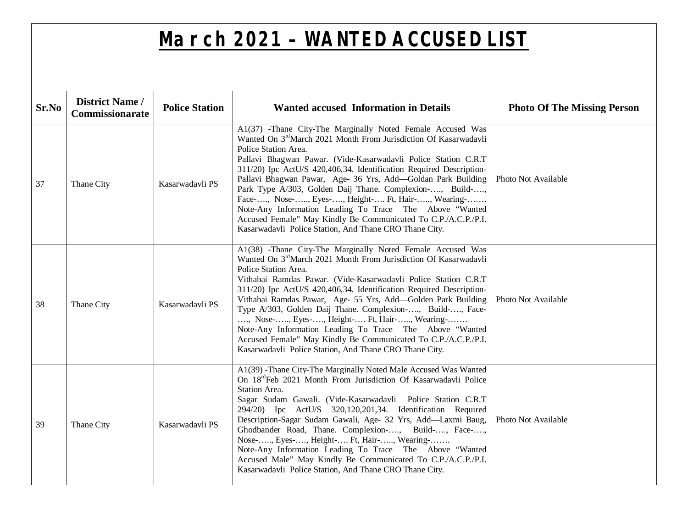| Sr.No | <b>District Name /</b><br><b>Commissionarate</b> | <b>Police Station</b> | <b>Wanted accused Information in Details</b>                                                                                                                                                                                                                                                                                                                                                                                                                                                                                                                                                                                                                                       | <b>Photo Of The Missing Person</b> |
|-------|--------------------------------------------------|-----------------------|------------------------------------------------------------------------------------------------------------------------------------------------------------------------------------------------------------------------------------------------------------------------------------------------------------------------------------------------------------------------------------------------------------------------------------------------------------------------------------------------------------------------------------------------------------------------------------------------------------------------------------------------------------------------------------|------------------------------------|
| 37    | Thane City                                       | Kasarwadavli PS       | A1(37) -Thane City-The Marginally Noted Female Accused Was<br>Wanted On 3 <sup>rd</sup> March 2021 Month From Jurisdiction Of Kasarwadavli<br>Police Station Area.<br>Pallavi Bhagwan Pawar. (Vide-Kasarwadavli Police Station C.R.T<br>311/20) Ipc ActU/S 420,406,34. Identification Required Description-<br>Pallavi Bhagwan Pawar, Age- 36 Yrs, Add—Goldan Park Building<br>Park Type A/303, Golden Daij Thane. Complexion-, Build-,<br>Face-, Nose-, Eyes-, Height- Ft, Hair-, Wearing-<br>Note-Any Information Leading To Trace The Above "Wanted<br>Accused Female" May Kindly Be Communicated To C.P./A.C.P./P.I.<br>Kasarwadavli Police Station, And Thane CRO Thane City. | Photo Not Available                |
| 38    | Thane City                                       | Kasarwadavli PS       | A1(38) -Thane City-The Marginally Noted Female Accused Was<br>Wanted On 3 <sup>rd</sup> March 2021 Month From Jurisdiction Of Kasarwadavli<br>Police Station Area.<br>Vithabai Ramdas Pawar. (Vide-Kasarwadavli Police Station C.R.T<br>311/20) Ipc ActU/S 420,406,34. Identification Required Description-<br>Vithabai Ramdas Pawar, Age- 55 Yrs, Add-Golden Park Building<br>Type A/303, Golden Daij Thane. Complexion-, Build-, Face-<br>, Nose-, Eyes-, Height- Ft, Hair-, Wearing-<br>Note-Any Information Leading To Trace The Above "Wanted<br>Accused Female" May Kindly Be Communicated To C.P./A.C.P./P.I.<br>Kasarwadavli Police Station, And Thane CRO Thane City.     | Photo Not Available                |
| 39    | Thane City                                       | Kasarwadavli PS       | A1(39) -Thane City-The Marginally Noted Male Accused Was Wanted<br>On 18 <sup>rd</sup> Feb 2021 Month From Jurisdiction Of Kasarwadavli Police<br>Station Area.<br>Sagar Sudam Gawali. (Vide-Kasarwadavli Police Station C.R.T<br>294/20) Ipc ActU/S 320,120,201,34. Identification Required<br>Description-Sagar Sudam Gawali, Age- 32 Yrs, Add-Laxmi Baug,<br>Ghodbander Road, Thane. Complexion-, Build-, Face-,<br>Nose-, Eyes-, Height- Ft, Hair-, Wearing-<br>Note-Any Information Leading To Trace The Above "Wanted<br>Accused Male" May Kindly Be Communicated To C.P./A.C.P./P.I.<br>Kasarwadavli Police Station, And Thane CRO Thane City.                              | Photo Not Available                |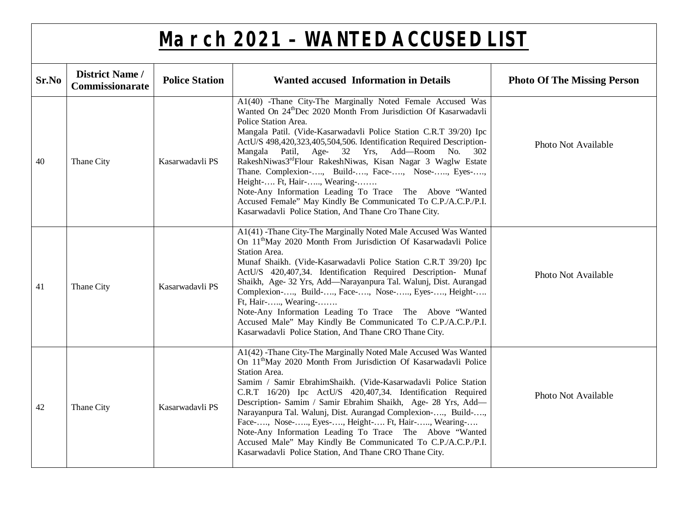| Sr.No | <b>District Name /</b><br>Commissionarate | <b>Police Station</b> | <b>Wanted accused Information in Details</b>                                                                                                                                                                                                                                                                                                                                                                                                                                                                                                                                                                                                                                                                          | <b>Photo Of The Missing Person</b> |
|-------|-------------------------------------------|-----------------------|-----------------------------------------------------------------------------------------------------------------------------------------------------------------------------------------------------------------------------------------------------------------------------------------------------------------------------------------------------------------------------------------------------------------------------------------------------------------------------------------------------------------------------------------------------------------------------------------------------------------------------------------------------------------------------------------------------------------------|------------------------------------|
| 40    | Thane City                                | Kasarwadavli PS       | A1(40) -Thane City-The Marginally Noted Female Accused Was<br>Wanted On 24 <sup>th</sup> Dec 2020 Month From Jurisdiction Of Kasarwadavli<br>Police Station Area.<br>Mangala Patil. (Vide-Kasarwadavli Police Station C.R.T 39/20) Ipc<br>ActU/S 498,420,323,405,504,506. Identification Required Description-<br>Mangala Patil, Age- 32 Yrs, Add-Room No. 302<br>RakeshNiwas3 <sup>rd</sup> Flour RakeshNiwas, Kisan Nagar 3 Waglw Estate<br>Thane. Complexion-, Build-, Face-, Nose-, Eyes-,<br>Height- Ft, Hair-, Wearing-<br>Note-Any Information Leading To Trace The Above "Wanted"<br>Accused Female" May Kindly Be Communicated To C.P./A.C.P./P.I.<br>Kasarwadavli Police Station, And Thane Cro Thane City. | Photo Not Available                |
| 41    | Thane City                                | Kasarwadavli PS       | A1(41) -Thane City-The Marginally Noted Male Accused Was Wanted<br>On 11 <sup>th</sup> May 2020 Month From Jurisdiction Of Kasarwadavli Police<br>Station Area.<br>Munaf Shaikh. (Vide-Kasarwadavli Police Station C.R.T 39/20) Ipc<br>ActU/S 420,407,34. Identification Required Description- Munaf<br>Shaikh, Age- 32 Yrs, Add-Narayanpura Tal. Walunj, Dist. Aurangad<br>Complexion-, Build-, Face-, Nose-, Eyes-, Height-<br>Ft, Hair-, Wearing-<br>Note-Any Information Leading To Trace The Above "Wanted<br>Accused Male" May Kindly Be Communicated To C.P./A.C.P./P.I.<br>Kasarwadavli Police Station, And Thane CRO Thane City.                                                                             | Photo Not Available                |
| 42    | Thane City                                | Kasarwadavli PS       | A1(42) -Thane City-The Marginally Noted Male Accused Was Wanted<br>On 11 <sup>th</sup> May 2020 Month From Jurisdiction Of Kasarwadavli Police<br>Station Area.<br>Samim / Samir EbrahimShaikh. (Vide-Kasarwadavli Police Station<br>C.R.T 16/20) Ipc ActU/S 420,407,34. Identification Required<br>Description- Samim / Samir Ebrahim Shaikh, Age- 28 Yrs, Add-<br>Narayanpura Tal. Walunj, Dist. Aurangad Complexion-, Build-,<br>Face-, Nose-, Eyes-, Height- Ft, Hair-, Wearing-<br>Note-Any Information Leading To Trace The Above "Wanted<br>Accused Male" May Kindly Be Communicated To C.P./A.C.P./P.I.<br>Kasarwadavli Police Station, And Thane CRO Thane City.                                             | Photo Not Available                |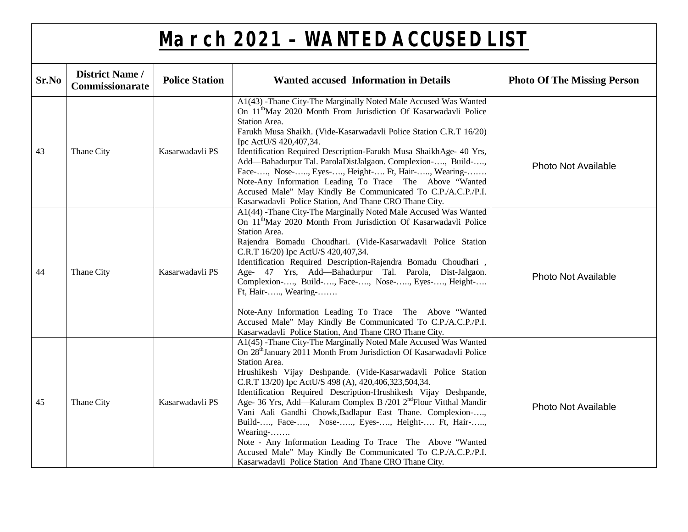| Sr.No | <b>District Name /</b><br>Commissionarate | <b>Police Station</b> | <b>Wanted accused Information in Details</b>                                                                                                                                                                                                                                                                                                                                                                                                                                                                                                                                                                                                                                                                                                                      | <b>Photo Of The Missing Person</b> |
|-------|-------------------------------------------|-----------------------|-------------------------------------------------------------------------------------------------------------------------------------------------------------------------------------------------------------------------------------------------------------------------------------------------------------------------------------------------------------------------------------------------------------------------------------------------------------------------------------------------------------------------------------------------------------------------------------------------------------------------------------------------------------------------------------------------------------------------------------------------------------------|------------------------------------|
| 43    | Thane City                                | Kasarwadavli PS       | A1(43) -Thane City-The Marginally Noted Male Accused Was Wanted<br>On 11 <sup>th</sup> May 2020 Month From Jurisdiction Of Kasarwadavli Police<br>Station Area.<br>Farukh Musa Shaikh. (Vide-Kasarwadavli Police Station C.R.T 16/20)<br>Ipc ActU/S 420,407,34.<br>Identification Required Description-Farukh Musa ShaikhAge- 40 Yrs,<br>Add—Bahadurpur Tal. ParolaDistJalgaon. Complexion-, Build-,<br>Face-, Nose-, Eyes-, Height- Ft, Hair-, Wearing-<br>Note-Any Information Leading To Trace The Above "Wanted<br>Accused Male" May Kindly Be Communicated To C.P./A.C.P./P.I.<br>Kasarwadavli Police Station, And Thane CRO Thane City.                                                                                                                     | <b>Photo Not Available</b>         |
| 44    | Thane City                                | Kasarwadavli PS       | A1(44) -Thane City-The Marginally Noted Male Accused Was Wanted<br>On 11 <sup>th</sup> May 2020 Month From Jurisdiction Of Kasarwadavli Police<br>Station Area.<br>Rajendra Bomadu Choudhari. (Vide-Kasarwadavli Police Station<br>C.R.T 16/20) Ipc ActU/S 420,407,34.<br>Identification Required Description-Rajendra Bomadu Choudhari,<br>Age- 47 Yrs, Add-Bahadurpur Tal. Parola, Dist-Jalgaon.<br>Complexion-, Build-, Face-, Nose-, Eyes-, Height-<br>Ft, Hair-, Wearing-<br>Note-Any Information Leading To Trace The Above "Wanted<br>Accused Male" May Kindly Be Communicated To C.P./A.C.P./P.I.<br>Kasarwadavli Police Station, And Thane CRO Thane City.                                                                                               | <b>Photo Not Available</b>         |
| 45    | Thane City                                | Kasarwadavli PS       | A1(45) -Thane City-The Marginally Noted Male Accused Was Wanted<br>On 28 <sup>th</sup> January 2011 Month From Jurisdiction Of Kasarwadavli Police<br>Station Area.<br>Hrushikesh Vijay Deshpande. (Vide-Kasarwadavli Police Station<br>C.R.T 13/20) Ipc ActU/S 498 (A), 420,406,323,504,34.<br>Identification Required Description-Hrushikesh Vijay Deshpande,<br>Age- 36 Yrs, Add—Kaluram Complex B /201 2 <sup>nd</sup> Flour Vitthal Mandir<br>Vani Aali Gandhi Chowk, Badlapur East Thane. Complexion-,<br>Build-, Face-, Nose-, Eyes-, Height- Ft, Hair-,<br>Wearing-<br>Note - Any Information Leading To Trace The Above "Wanted<br>Accused Male" May Kindly Be Communicated To C.P./A.C.P./P.I.<br>Kasarwadavli Police Station And Thane CRO Thane City. | <b>Photo Not Available</b>         |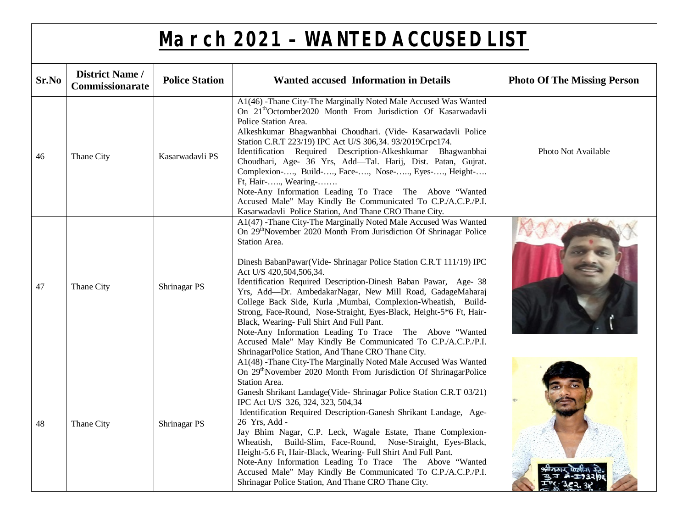| Sr.No | <b>District Name /</b><br>Commissionarate | <b>Police Station</b> | <b>Wanted accused Information in Details</b>                                                                                                                                                                                                                                                                                                                                                                                                                                                                                                                                                                                                                                                                                                                            | <b>Photo Of The Missing Person</b> |
|-------|-------------------------------------------|-----------------------|-------------------------------------------------------------------------------------------------------------------------------------------------------------------------------------------------------------------------------------------------------------------------------------------------------------------------------------------------------------------------------------------------------------------------------------------------------------------------------------------------------------------------------------------------------------------------------------------------------------------------------------------------------------------------------------------------------------------------------------------------------------------------|------------------------------------|
| 46    | Thane City                                | Kasarwadavli PS       | A1(46) -Thane City-The Marginally Noted Male Accused Was Wanted<br>On 21 <sup>th</sup> Octomber2020 Month From Jurisdiction Of Kasarwadavli<br>Police Station Area.<br>Alkeshkumar Bhagwanbhai Choudhari. (Vide- Kasarwadavli Police<br>Station C.R.T 223/19) IPC Act U/S 306,34. 93/2019Crpc174.<br>Identification Required Description-Alkeshkumar Bhagwanbhai<br>Choudhari, Age- 36 Yrs, Add-Tal. Harij, Dist. Patan, Gujrat.<br>Complexion-, Build-, Face-, Nose-, Eyes-, Height-<br>Ft, Hair-, Wearing-<br>Note-Any Information Leading To Trace The Above "Wanted<br>Accused Male" May Kindly Be Communicated To C.P./A.C.P./P.I.<br>Kasarwadavli Police Station, And Thane CRO Thane City.                                                                       | Photo Not Available                |
| 47    | Thane City                                | Shrinagar PS          | A1(47) -Thane City-The Marginally Noted Male Accused Was Wanted<br>On 29 <sup>th</sup> November 2020 Month From Jurisdiction Of Shrinagar Police<br>Station Area.<br>Dinesh BabanPawar(Vide-Shrinagar Police Station C.R.T 111/19) IPC<br>Act U/S 420,504,506,34.<br>Identification Required Description-Dinesh Baban Pawar, Age- 38<br>Yrs, Add-Dr. AmbedakarNagar, New Mill Road, GadageMaharaj<br>College Back Side, Kurla ,Mumbai, Complexion-Wheatish, Build-<br>Strong, Face-Round, Nose-Straight, Eyes-Black, Height-5*6 Ft, Hair-<br>Black, Wearing- Full Shirt And Full Pant.<br>Note-Any Information Leading To Trace The Above "Wanted<br>Accused Male" May Kindly Be Communicated To C.P./A.C.P./P.I.<br>ShrinagarPolice Station, And Thane CRO Thane City. |                                    |
| 48    | Thane City                                | Shrinagar PS          | A1(48) -Thane City-The Marginally Noted Male Accused Was Wanted<br>On 29 <sup>th</sup> November 2020 Month From Jurisdiction Of ShrinagarPolice<br>Station Area.<br>Ganesh Shrikant Landage(Vide-Shrinagar Police Station C.R.T 03/21)<br>IPC Act U/S 326, 324, 323, 504,34<br>Identification Required Description-Ganesh Shrikant Landage, Age-<br>26 Yrs, Add -<br>Jay Bhim Nagar, C.P. Leck, Wagale Estate, Thane Complexion-<br>Wheatish, Build-Slim, Face-Round, Nose-Straight, Eyes-Black,<br>Height-5.6 Ft, Hair-Black, Wearing- Full Shirt And Full Pant.<br>Note-Any Information Leading To Trace The Above "Wanted<br>Accused Male" May Kindly Be Communicated To C.P./A.C.P./P.I.<br>Shrinagar Police Station, And Thane CRO Thane City.                     |                                    |